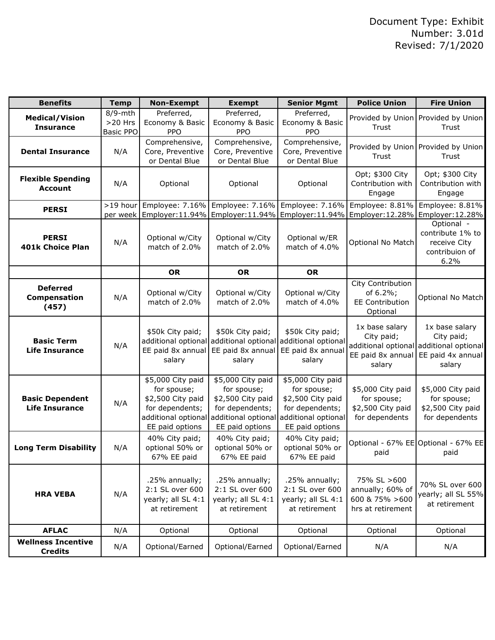| <b>Benefits</b>                                 | <b>Temp</b>                              | <b>Non-Exempt</b>                                                                                                  | <b>Exempt</b>                                                                                                      | <b>Senior Mgmt</b>                                                                                                 | <b>Police Union</b>                                                     | <b>Fire Union</b>                                                                                      |
|-------------------------------------------------|------------------------------------------|--------------------------------------------------------------------------------------------------------------------|--------------------------------------------------------------------------------------------------------------------|--------------------------------------------------------------------------------------------------------------------|-------------------------------------------------------------------------|--------------------------------------------------------------------------------------------------------|
| <b>Medical/Vision</b><br><b>Insurance</b>       | 8/9-mth<br>$>20$ Hrs<br><b>Basic PPO</b> | Preferred,<br>Economy & Basic<br>PPO                                                                               | Preferred,<br>Economy & Basic<br><b>PPO</b>                                                                        | Preferred,<br>Economy & Basic<br>PPO                                                                               | Trust                                                                   | Provided by Union Provided by Union<br>Trust                                                           |
| <b>Dental Insurance</b>                         | N/A                                      | Comprehensive,<br>Core, Preventive<br>or Dental Blue                                                               | Comprehensive,<br>Core, Preventive<br>or Dental Blue                                                               | Comprehensive,<br>Core, Preventive<br>or Dental Blue                                                               | Trust                                                                   | Provided by Union Provided by Union<br>Trust                                                           |
| <b>Flexible Spending</b><br><b>Account</b>      | N/A                                      | Optional                                                                                                           | Optional                                                                                                           | Optional                                                                                                           | Opt; \$300 City<br>Contribution with<br>Engage                          | Opt; \$300 City<br>Contribution with<br>Engage                                                         |
| <b>PERSI</b>                                    | $>19$ hour<br>per week                   | Employer:11.94%   Employer:11.94%   Employer:11.94%   Employer:12.28%                                              | Employee: 7.16% Employee: 7.16%                                                                                    | Employee: 7.16%                                                                                                    | Employee: 8.81%                                                         | Employee: 8.81%<br>Employer: 12.28%                                                                    |
| <b>PERSI</b><br><b>401k Choice Plan</b>         | N/A                                      | Optional w/City<br>match of 2.0%                                                                                   | Optional w/City<br>match of 2.0%                                                                                   | Optional w/ER<br>match of 4.0%                                                                                     | Optional No Match                                                       | Optional -<br>contribute 1% to<br>receive City<br>contribuion of<br>6.2%                               |
|                                                 |                                          | <b>OR</b>                                                                                                          | <b>OR</b>                                                                                                          | <b>OR</b>                                                                                                          |                                                                         |                                                                                                        |
| <b>Deferred</b><br>Compensation<br>(457)        | N/A                                      | Optional w/City<br>match of 2.0%                                                                                   | Optional w/City<br>match of 2.0%                                                                                   | Optional w/City<br>match of 4.0%                                                                                   | City Contribution<br>of 6.2%;<br><b>EE Contribution</b><br>Optional     | Optional No Match                                                                                      |
| <b>Basic Term</b><br><b>Life Insurance</b>      | N/A                                      | \$50k City paid;<br>EE paid 8x annual<br>salary                                                                    | \$50k City paid;<br>additional optional additional optional<br>EE paid 8x annual<br>salary                         | \$50k City paid;<br>additional optional<br>EE paid 8x annual<br>salary                                             | 1x base salary<br>City paid;<br>EE paid 8x annual<br>salary             | 1x base salary<br>City paid;<br>additional optional additional optional<br>EE paid 4x annual<br>salary |
| <b>Basic Dependent</b><br><b>Life Insurance</b> | N/A                                      | \$5,000 City paid<br>for spouse;<br>\$2,500 City paid<br>for dependents;<br>additional optional<br>EE paid options | \$5,000 City paid<br>for spouse;<br>\$2,500 City paid<br>for dependents;<br>additional optional<br>EE paid options | \$5,000 City paid<br>for spouse;<br>\$2,500 City paid<br>for dependents;<br>additional optional<br>EE paid options | \$5,000 City paid<br>for spouse;<br>\$2,500 City paid<br>for dependents | \$5,000 City paid<br>for spouse;<br>\$2,500 City paid<br>for dependents                                |
| <b>Long Term Disability</b>                     | N/A                                      | 40% City paid;<br>optional 50% or<br>67% EE paid                                                                   | 40% City paid;<br>optional 50% or<br>67% EE paid                                                                   | 40% City paid;<br>optional 50% or<br>67% EE paid                                                                   | paid                                                                    | Optional - 67% EE Optional - 67% EE<br>paid                                                            |
| <b>HRA VEBA</b>                                 | N/A                                      | .25% annually;<br>2:1 SL over 600<br>yearly; all SL 4:1<br>at retirement                                           | .25% annually;<br>2:1 SL over 600<br>yearly; all SL 4:1<br>at retirement                                           | .25% annually;<br>2:1 SL over 600<br>yearly; all SL 4:1<br>at retirement                                           | 75% SL >600<br>annually; 60% of<br>600 & 75% > 600<br>hrs at retirement | 70% SL over 600<br>yearly; all SL 55%<br>at retirement                                                 |
| <b>AFLAC</b>                                    | N/A                                      | Optional                                                                                                           | Optional                                                                                                           | Optional                                                                                                           | Optional                                                                | Optional                                                                                               |
| <b>Wellness Incentive</b><br><b>Credits</b>     | N/A                                      | Optional/Earned                                                                                                    | Optional/Earned                                                                                                    | Optional/Earned                                                                                                    | N/A                                                                     | N/A                                                                                                    |